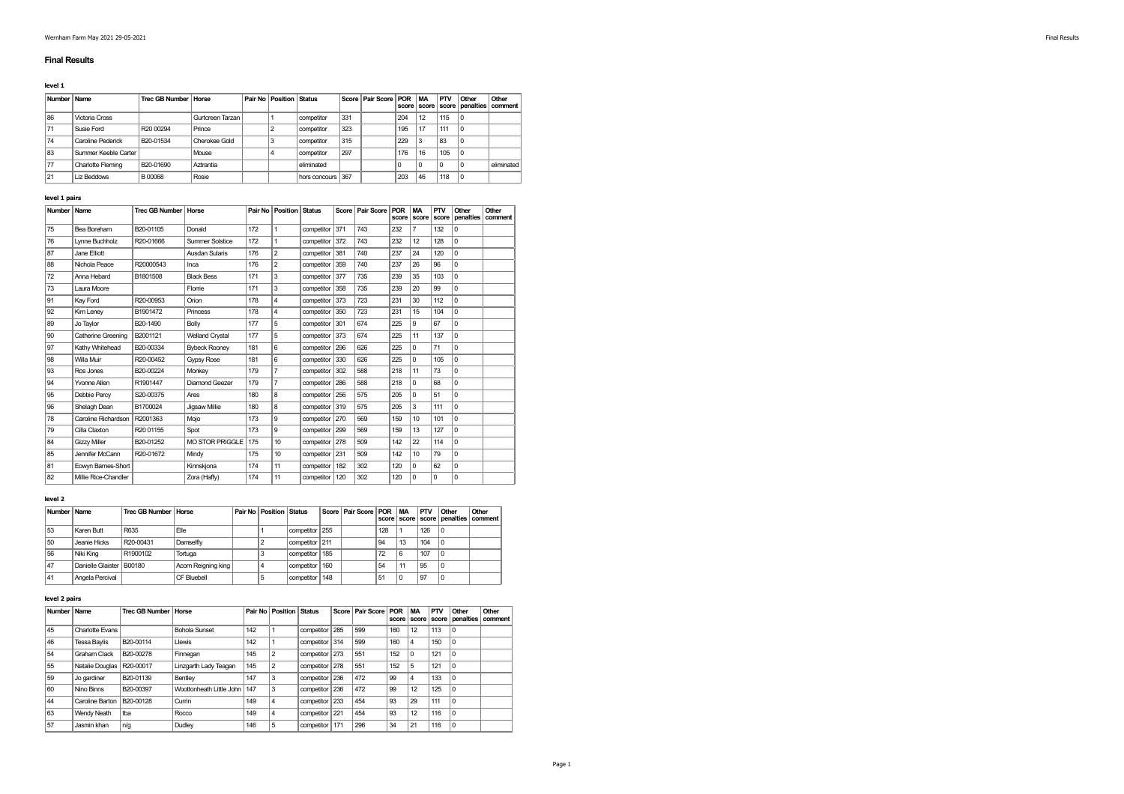## Final Results

#### level 1

| Number Name |                      | Trec GB Number   Horse |                  | <b>Pair No Position Status</b> |                   |     | Score   Pair Score   POR |     | <b>MA</b> | PTV<br>score score score | Other<br>penalties   comment | Other      |
|-------------|----------------------|------------------------|------------------|--------------------------------|-------------------|-----|--------------------------|-----|-----------|--------------------------|------------------------------|------------|
| 86          | Victoria Cross       |                        | Gurtcreen Tarzan |                                | competitor        | 331 |                          | 204 | 12        | 115                      | ۱c                           |            |
| 71          | Susie Ford           | R <sub>20</sub> 00294  | Prince           |                                | competitor        | 323 |                          | 195 | 17        | 111                      | ۱c                           |            |
| 74          | Caroline Pederick    | B20-01534              | Cherokee Gold    |                                | competitor        | 315 |                          | 229 |           | 83                       | -0                           |            |
| 83          | Summer Keeble Carter |                        | Mouse            |                                | competitor        | 297 |                          | 176 | 16        | 105                      | ۱c                           |            |
| 77          | Charlotte Fleming    | B20-01690              | Aztrantia        |                                | eliminated        |     |                          |     |           |                          |                              | eliminated |
| 21          | Liz Beddows          | B00068                 | Rosie            |                                | hors concours 367 |     |                          | 203 | 46        | 118                      | ۱c                           |            |

# level 1 pairs

| <b>Number</b> | Name                 | <b>Trec GB Number</b> | Horse                  | Pair No | Position         | <b>Status</b> | <b>Score</b> | Pair Score | POR<br>score | <b>MA</b><br>score | PTV<br>score | Other<br>penalties | Other<br>comment |
|---------------|----------------------|-----------------------|------------------------|---------|------------------|---------------|--------------|------------|--------------|--------------------|--------------|--------------------|------------------|
| 75            | Bea Boreham          | B20-01105             | Donald                 | 172     | $\mathbf{1}$     | competitor    | 371          | 743        | 232          | $\overline{7}$     | 132          | $\Omega$           |                  |
| 76            | Lynne Buchholz       | R20-01666             | Summer Solstice        | 172     | 1                | competitor    | 372          | 743        | 232          | 12                 | 128          | $\Omega$           |                  |
| 87            | Jane Elliott         |                       | Ausdan Sularis         | 176     | $\overline{2}$   | competitor    | 381          | 740        | 237          | 24                 | 120          | $\Omega$           |                  |
| 88            | Nichola Peace        | R20000543             | Inca                   | 176     | $\overline{2}$   | competitor    | 359          | 740        | 237          | 26                 | 96           | $\Omega$           |                  |
| 72            | Anna Hebard          | B1801508              | <b>Black Bess</b>      | 171     | 3                | competitor    | 377          | 735        | 239          | 35                 | 103          | $\Omega$           |                  |
| 73            | Laura Moore          |                       | Florrie                | 171     | 3                | competitor    | 358          | 735        | 239          | 20                 | 99           | $\Omega$           |                  |
| 91            | Kay Ford             | R20-00953             | Orion                  | 178     | $\overline{4}$   | competitor    | 373          | 723        | 231          | 30                 | 112          | $\Omega$           |                  |
| 92            | Kim Lenev            | B1901472              | Princess               | 178     | $\overline{4}$   | competitor    | 350          | 723        | 231          | 15                 | 104          | $\Omega$           |                  |
| 89            | Jo Taylor            | B20-1490              | Bolly                  | 177     | 5                | competitor    | 301          | 674        | 225          | 9                  | 67           | $\Omega$           |                  |
| 90            | Catherine Greening   | B2001121              | <b>Welland Crystal</b> | 177     | 5                | competitor    | 373          | 674        | 225          | 11                 | 137          | $\Omega$           |                  |
| 97            | Kathy Whitehead      | B20-00334             | <b>Bybeck Roonev</b>   | 181     | 6                | competitor    | 296          | 626        | 225          | $\Omega$           | 71           | $\Omega$           |                  |
| 98            | Willa Muir           | R20-00452             | Gypsy Rose             | 181     | 6                | competitor    | 330          | 626        | 225          | $\Omega$           | 105          | $\Omega$           |                  |
| 93            | Ros Jones            | B20-00224             | Monkey                 | 179     | $\overline{7}$   | competitor    | 302          | 588        | 218          | 11                 | 73           | $\Omega$           |                  |
| 94            | Yvonne Allen         | R1901447              | Diamond Geezer         | 179     | $\overline{7}$   | competitor    | 286          | 588        | 218          | $\Omega$           | 68           | $\Omega$           |                  |
| 95            | Debbie Percv         | S20-00375             | Ares                   | 180     | 8                | competitor    | 256          | 575        | 205          | $\Omega$           | 51           | $\Omega$           |                  |
| 96            | Shelagh Dean         | B1700024              | Jigsaw Millie          | 180     | 8                | competitor    | 319          | 575        | 205          | 3                  | 111          | $\Omega$           |                  |
| 78            | Caroline Richardson  | R2001363              | Mojo                   | 173     | 9                | competitor    | 270          | 569        | 159          | 10 <sup>10</sup>   | 101          | $\Omega$           |                  |
| 79            | Cilla Claxton        | R20 01155             | Spot                   | 173     | 9                | competitor    | 299          | 569        | 159          | 13                 | 127          | $\Omega$           |                  |
| 84            | <b>Gizzv Miller</b>  | B20-01252             | <b>MO STOR PRIGGLE</b> | 175     | 10 <sup>10</sup> | competitor    | 278          | 509        | 142          | 22                 | 114          | $\Omega$           |                  |
| 85            | Jennifer McCann      | R20-01672             | Mindy                  | 175     | 10               | competitor    | 231          | 509        | 142          | 10                 | 79           | $\Omega$           |                  |
| 81            | Eowyn Barnes-Short   |                       | Kinnskjona             | 174     | 11               | competitor    | 182          | 302        | 120          | $\Omega$           | 62           | $\mathbf 0$        |                  |
| 82            | Millie Rice-Chandler |                       | Zora (Haffy)           | 174     | 11               | competitor    | 120          | 302        | 120          | $\Omega$           | $\Omega$     | $\Omega$           |                  |

# level 2

|    | Number   Name            | <b>Trec GB Number Horse</b> |                    | Pair No   Position   Status |                |     | Score   Pair Score   POR   MA |     |    | <b>PTV</b> | Other | Other<br>score score score penalties comment |
|----|--------------------------|-----------------------------|--------------------|-----------------------------|----------------|-----|-------------------------------|-----|----|------------|-------|----------------------------------------------|
| 53 | Karen Butt               | R635                        | Elle               |                             | competitor 255 |     |                               | 128 |    | 126        |       |                                              |
| 50 | Jeanie Hicks             | R20-00431                   | Damselfly          |                             | competitor 211 |     |                               | 94  | 13 | 104        |       |                                              |
| 56 | Niki Kina                | R1900102                    | Tortuga            |                             | competitor     | 185 |                               | 72  | 6  | 107        |       |                                              |
| 47 | Danielle Glaister B00180 |                             | Acom Reigning king |                             | competitor     | 160 |                               | 54  | 11 | 95         |       |                                              |
| 41 | Angela Percival          |                             | CF Bluebell        |                             | competitor     | 148 |                               | 51  |    | 97         |       |                                              |

# level 2 pairs

| Number | Name                        | <b>Trec GB Number   Horse</b> |                              |     | <b>Pair No Position Status</b> |                |     | Score   Pair Score | <b>POR</b><br>score | <b>MA</b><br>score | <b>PTV</b> | Other<br>score penalties | Other<br>comment |
|--------|-----------------------------|-------------------------------|------------------------------|-----|--------------------------------|----------------|-----|--------------------|---------------------|--------------------|------------|--------------------------|------------------|
| 45     | Charlotte Evans             |                               | Bohola Sunset                | 142 |                                | competitor     | 285 | 599                | 160                 | 12                 | 113        | $\Omega$                 |                  |
| 46     | <b>Tessa Bavlis</b>         | B20-00114                     | Llewis                       | 142 |                                | competitor 314 |     | 599                | 160                 | 4                  | 150        | $\Omega$                 |                  |
| 54     | Graham Clack                | B20-00278                     | Finnegan                     | 145 | $\overline{2}$                 | competitor 273 |     | 551                | 152                 | 0                  | 121        | $\Omega$                 |                  |
| 55     | Natalie Douglas   R20-00017 |                               | Linzgarth Lady Teagan        | 145 | $\overline{2}$                 | competitor 278 |     | 551                | 152                 | 5                  | 121        | $\Omega$                 |                  |
| 59     | Jo gardiner                 | B20-01139                     | Bentley                      | 147 | 3                              | competitor     | 236 | 472                | 99                  | 4                  | 133        | $\mathbf 0$              |                  |
| 60     | Nino Binns                  | B20-00397                     | Woottonheath Little John 147 |     | 3                              | competitor     | 236 | 472                | 99                  | 12                 | 125        | $\Omega$                 |                  |
| 44     | Caroline Barton             | B20-00128                     | Currin                       | 149 | 4                              | competitor     | 233 | 454                | 93                  | 29                 | 111        | $\Omega$                 |                  |
| 63     | <b>Wendy Neath</b>          | tha                           | Rocco                        | 149 | 4                              | competitor     | 221 | 454                | 93                  | 12                 | 116        | $\Omega$                 |                  |
| 57     | Jasmin khan                 | n/q                           | Dudley                       | 146 | 5                              | competitor     | 171 | 296                | 34                  | 21                 | 116        | $\mathbf 0$              |                  |